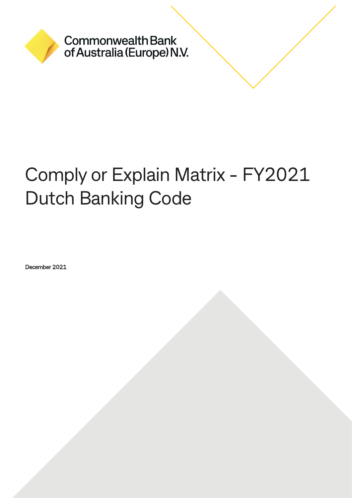

**Commonwealth Bank** of Australia (Europe) N.V.

# Comply or Explain Matrix - FY2021 Dutch Banking Code

December 2021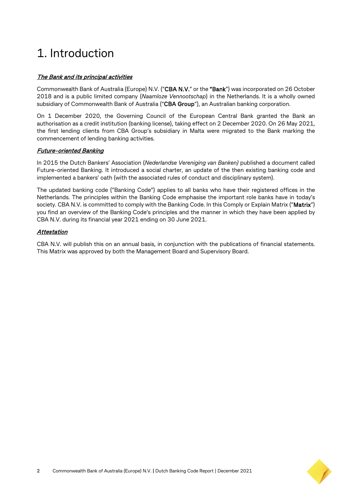## 1. Introduction

#### The Bank and its principal activities

Commonwealth Bank of Australia (Europe) N.V. ("CBA N.V." or the "Bank") was incorporated on 26 October 2018 and is a public limited company (*Naamloze Vennootschap*) in the Netherlands. It is a wholly owned subsidiary of Commonwealth Bank of Australia ("CBA Group"), an Australian banking corporation.

On 1 December 2020, the Governing Council of the European Central Bank granted the Bank an authorisation as a credit institution (banking license), taking effect on 2 December 2020. On 26 May 2021, the first lending clients from CBA Group's subsidiary in Malta were migrated to the Bank marking the commencement of lending banking activities.

#### Future-oriented Banking

In 2015 the Dutch Bankers' Association (*Nederlandse Vereniging van Banken)* published a document called Future-oriented Banking. It introduced a social charter, an update of the then existing banking code and implemented a bankers' oath (with the associated rules of conduct and disciplinary system).

The updated banking code ("Banking Code") applies to all banks who have their registered offices in the Netherlands. The principles within the Banking Code emphasise the important role banks have in today's society. CBA N.V. is committed to comply with the Banking Code. In this Comply or Explain Matrix ("Matrix") you find an overview of the Banking Code's principles and the manner in which they have been applied by CBA N.V. during its financial year 2021 ending on 30 June 2021.

#### Attestation

CBA N.V. will publish this on an annual basis, in conjunction with the publications of financial statements. This Matrix was approved by both the Management Board and Supervisory Board.

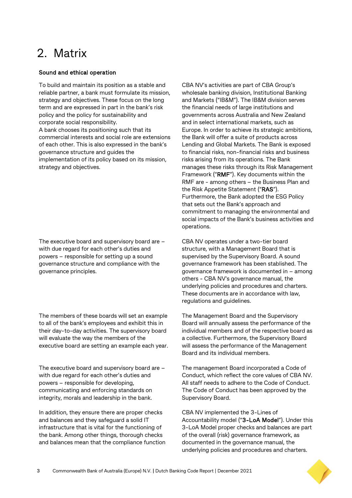### 2. Matrix

#### Sound and ethical operation

To build and maintain its position as a stable and reliable partner, a bank must formulate its mission, strategy and objectives. These focus on the long term and are expressed in part in the bank's risk policy and the policy for sustainability and corporate social responsibility. A bank chooses its positioning such that its commercial interests and social role are extensions of each other. This is also expressed in the bank's governance structure and guides the implementation of its policy based on its mission, strategy and objectives.

The executive board and supervisory board are – with due regard for each other's duties and powers – responsible for setting up a sound governance structure and compliance with the governance principles.

The members of these boards will set an example to all of the bank's employees and exhibit this in their day-to-day activities. The supervisory board will evaluate the way the members of the executive board are setting an example each year.

The executive board and supervisory board are – with due regard for each other's duties and powers – responsible for developing, communicating and enforcing standards on integrity, morals and leadership in the bank.

In addition, they ensure there are proper checks and balances and they safeguard a solid IT infrastructure that is vital for the functioning of the bank. Among other things, thorough checks and balances mean that the compliance function CBA NV's activities are part of CBA Group's wholesale banking division, Institutional Banking and Markets ("IB&M"). The IB&M division serves the financial needs of large institutions and governments across Australia and New Zealand and in select international markets, such as Europe. In order to achieve its strategic ambitions, the Bank will offer a suite of products across Lending and Global Markets. The Bank is exposed to financial risks, non-financial risks and business risks arising from its operations. The Bank manages these risks through its Risk Management Framework ("RMF"). Key documents within the RMF are - among others – the Business Plan and the Risk Appetite Statement ("RAS"). Furthermore, the Bank adopted the ESG Policy that sets out the Bank's approach and commitment to managing the environmental and social impacts of the Bank's business activities and operations.

CBA NV operates under a two-tier board structure, with a Management Board that is supervised by the Supervisory Board. A sound governance framework has been stablished. The governance framework is documented in – among others - CBA NV's governance manual, the underlying policies and procedures and charters. These documents are in accordance with law, regulations and guidelines.

The Management Board and the Supervisory Board will annually assess the performance of the individual members and of the respective board as a collective. Furthermore, the Supervisory Board will assess the performance of the Management Board and its individual members.

The management Board incorporated a Code of Conduct, which reflect the core values of CBA NV. All staff needs to adhere to the Code of Conduct. The Code of Conduct has been approved by the Supervisory Board.

CBA NV implemented the 3-Lines of Accountability model ("3-LoA Model"). Under this 3-LoA Model proper checks and balances are part of the overall (risk) governance framework, as documented in the governance manual, the underlying policies and procedures and charters.

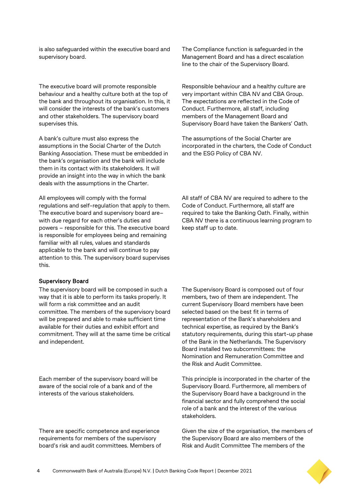is also safeguarded within the executive board and supervisory board.

The executive board will promote responsible behaviour and a healthy culture both at the top of the bank and throughout its organisation. In this, it will consider the interests of the bank's customers and other stakeholders. The supervisory board supervises this.

A bank's culture must also express the assumptions in the Social Charter of the Dutch Banking Association. These must be embedded in the bank's organisation and the bank will include them in its contact with its stakeholders. It will provide an insight into the way in which the bank deals with the assumptions in the Charter.

All employees will comply with the formal regulations and self-regulation that apply to them. The executive board and supervisory board are– with due regard for each other's duties and powers – responsible for this. The executive board is responsible for employees being and remaining familiar with all rules, values and standards applicable to the bank and will continue to pay attention to this. The supervisory board supervises this.

#### Supervisory Board

The supervisory board will be composed in such a way that it is able to perform its tasks properly. It will form a risk committee and an audit committee. The members of the supervisory board will be prepared and able to make sufficient time available for their duties and exhibit effort and commitment. They will at the same time be critical and independent.

Each member of the supervisory board will be aware of the social role of a bank and of the interests of the various stakeholders.

There are specific competence and experience requirements for members of the supervisory board's risk and audit committees. Members of The Compliance function is safeguarded in the Management Board and has a direct escalation line to the chair of the Supervisory Board.

Responsible behaviour and a healthy culture are very important within CBA NV and CBA Group. The expectations are reflected in the Code of Conduct. Furthermore, all staff, including members of the Management Board and Supervisory Board have taken the Bankers' Oath.

The assumptions of the Social Charter are incorporated in the charters, the Code of Conduct and the ESG Policy of CBA NV.

All staff of CBA NV are required to adhere to the Code of Conduct. Furthermore, all staff are required to take the Banking Oath. Finally, within CBA NV there is a continuous learning program to keep staff up to date.

The Supervisory Board is composed out of four members, two of them are independent. The current Supervisory Board members have been selected based on the best fit in terms of representation of the Bank's shareholders and technical expertise, as required by the Bank's statutory requirements, during this start-up phase of the Bank in the Netherlands. The Supervisory Board installed two subcommittees: the Nomination and Remuneration Committee and the Risk and Audit Committee.

This principle is incorporated in the charter of the Supervisory Board. Furthermore, all members of the Supervisory Board have a background in the financial sector and fully comprehend the social role of a bank and the interest of the various stakeholders.

Given the size of the organisation, the members of the Supervisory Board are also members of the Risk and Audit Committee The members of the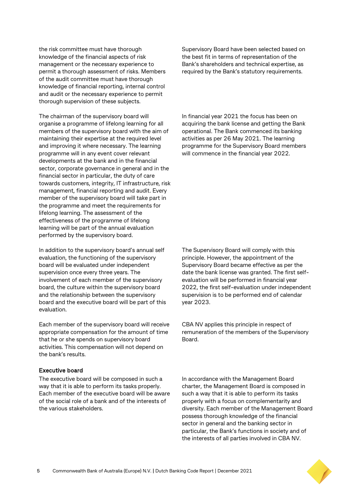the risk committee must have thorough knowledge of the financial aspects of risk management or the necessary experience to permit a thorough assessment of risks. Members of the audit committee must have thorough knowledge of financial reporting, internal control and audit or the necessary experience to permit thorough supervision of these subjects.

The chairman of the supervisory board will organise a programme of lifelong learning for all members of the supervisory board with the aim of maintaining their expertise at the required level and improving it where necessary. The learning programme will in any event cover relevant developments at the bank and in the financial sector, corporate governance in general and in the financial sector in particular, the duty of care towards customers, integrity, IT infrastructure, risk management, financial reporting and audit. Every member of the supervisory board will take part in the programme and meet the requirements for lifelong learning. The assessment of the effectiveness of the programme of lifelong learning will be part of the annual evaluation performed by the supervisory board.

In addition to the supervisory board's annual self evaluation, the functioning of the supervisory board will be evaluated under independent supervision once every three years. The involvement of each member of the supervisory board, the culture within the supervisory board and the relationship between the supervisory board and the executive board will be part of this evaluation.

Each member of the supervisory board will receive appropriate compensation for the amount of time that he or she spends on supervisory board activities. This compensation will not depend on the bank's results.

#### Executive board

The executive board will be composed in such a way that it is able to perform its tasks properly. Each member of the executive board will be aware of the social role of a bank and of the interests of the various stakeholders.

Supervisory Board have been selected based on the best fit in terms of representation of the Bank's shareholders and technical expertise, as required by the Bank's statutory requirements.

In financial year 2021 the focus has been on acquiring the bank license and getting the Bank operational. The Bank commenced its banking activities as per 26 May 2021. The learning programme for the Supervisory Board members will commence in the financial year 2022.

The Supervisory Board will comply with this principle. However, the appointment of the Supervisory Board became effective as per the date the bank license was granted. The first selfevaluation will be performed in financial year 2022, the first self-evaluation under independent supervision is to be performed end of calendar year 2023.

CBA NV applies this principle in respect of remuneration of the members of the Supervisory Board.

In accordance with the Management Board charter, the Management Board is composed in such a way that it is able to perform its tasks properly with a focus on complementarity and diversity. Each member of the Management Board possess thorough knowledge of the financial sector in general and the banking sector in particular, the Bank's functions in society and of the interests of all parties involved in CBA NV.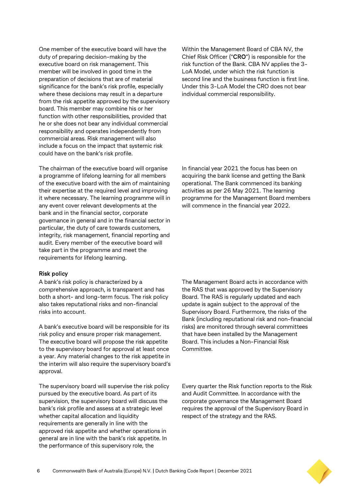One member of the executive board will have the duty of preparing decision-making by the executive board on risk management. This member will be involved in good time in the preparation of decisions that are of material significance for the bank's risk profile, especially where these decisions may result in a departure from the risk appetite approved by the supervisory board. This member may combine his or her function with other responsibilities, provided that he or she does not bear any individual commercial responsibility and operates independently from commercial areas. Risk management will also include a focus on the impact that systemic risk could have on the bank's risk profile.

The chairman of the executive board will organise a programme of lifelong learning for all members of the executive board with the aim of maintaining their expertise at the required level and improving it where necessary. The learning programme will in any event cover relevant developments at the bank and in the financial sector, corporate governance in general and in the financial sector in particular, the duty of care towards customers, integrity, risk management, financial reporting and audit. Every member of the executive board will take part in the programme and meet the requirements for lifelong learning.

#### Risk policy

A bank's risk policy is characterized by a comprehensive approach, is transparent and has both a short- and long-term focus. The risk policy also takes reputational risks and non-financial risks into account.

A bank's executive board will be responsible for its risk policy and ensure proper risk management. The executive board will propose the risk appetite to the supervisory board for approval at least once a year. Any material changes to the risk appetite in the interim will also require the supervisory board's approval.

The supervisory board will supervise the risk policy pursued by the executive board. As part of its supervision, the supervisory board will discuss the bank's risk profile and assess at a strategic level whether capital allocation and liquidity requirements are generally in line with the approved risk appetite and whether operations in general are in line with the bank's risk appetite. In the performance of this supervisory role, the

Within the Management Board of CBA NV, the Chief Risk Officer ("CRO") is responsible for the risk function of the Bank. CBA NV applies the 3- LoA Model, under which the risk function is second line and the business function is first line. Under this 3-LoA Model the CRO does not bear individual commercial responsibility.

In financial year 2021 the focus has been on acquiring the bank license and getting the Bank operational. The Bank commenced its banking activities as per 26 May 2021. The learning programme for the Management Board members will commence in the financial year 2022.

The Management Board acts in accordance with the RAS that was approved by the Supervisory Board. The RAS is regularly updated and each update is again subject to the approval of the Supervisory Board. Furthermore, the risks of the Bank (including reputational risk and non-financial risks) are monitored through several committees that have been installed by the Management Board. This includes a Non-Financial Risk Committee.

Every quarter the Risk function reports to the Risk and Audit Committee. In accordance with the corporate governance the Management Board requires the approval of the Supervisory Board in respect of the strategy and the RAS.